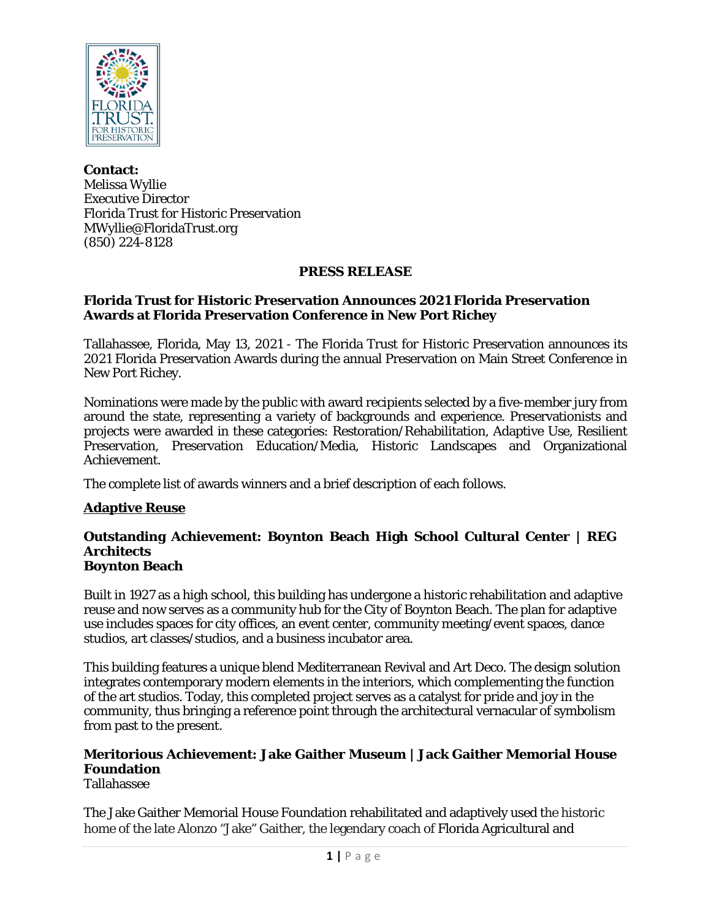

**Contact:** Melissa Wyllie Executive Director Florida Trust for Historic Preservation MWyllie@FloridaTrust.org (850) 224-8128

#### **PRESS RELEASE**

#### **Florida Trust for Historic Preservation Announces 2021 Florida Preservation Awards at Florida Preservation Conference in New Port Richey**

Tallahassee, Florida, May 13, 2021 - The Florida Trust for Historic Preservation announces its 2021 Florida Preservation Awards during the annual Preservation on Main Street Conference in New Port Richey.

Nominations were made by the public with award recipients selected by a five-member jury from around the state, representing a variety of backgrounds and experience. Preservationists and projects were awarded in these categories: Restoration/Rehabilitation, Adaptive Use, Resilient Preservation, Preservation Education/Media, Historic Landscapes and Organizational Achievement.

The complete list of awards winners and a brief description of each follows.

# **Adaptive Reuse**

#### **Outstanding Achievement: Boynton Beach High School Cultural Center | REG Architects Boynton Beach**

Built in 1927 as a high school, this building has undergone a historic rehabilitation and adaptive reuse and now serves as a community hub for the City of Boynton Beach. The plan for adaptive use includes spaces for city offices, an event center, community meeting/event spaces, dance studios, art classes/studios, and a business incubator area.

This building features a unique blend Mediterranean Revival and Art Deco. The design solution integrates contemporary modern elements in the interiors, which complementing the function of the art studios. Today, this completed project serves as a catalyst for pride and joy in the community, thus bringing a reference point through the architectural vernacular of symbolism from past to the present.

# **Meritorious Achievement: Jake Gaither Museum | Jack Gaither Memorial House Foundation**

Tallahassee

The Jake Gaither Memorial House Foundation rehabilitated and adaptively used the historic home of the late Alonzo "Jake" Gaither, the legendary coach of Florida Agricultural and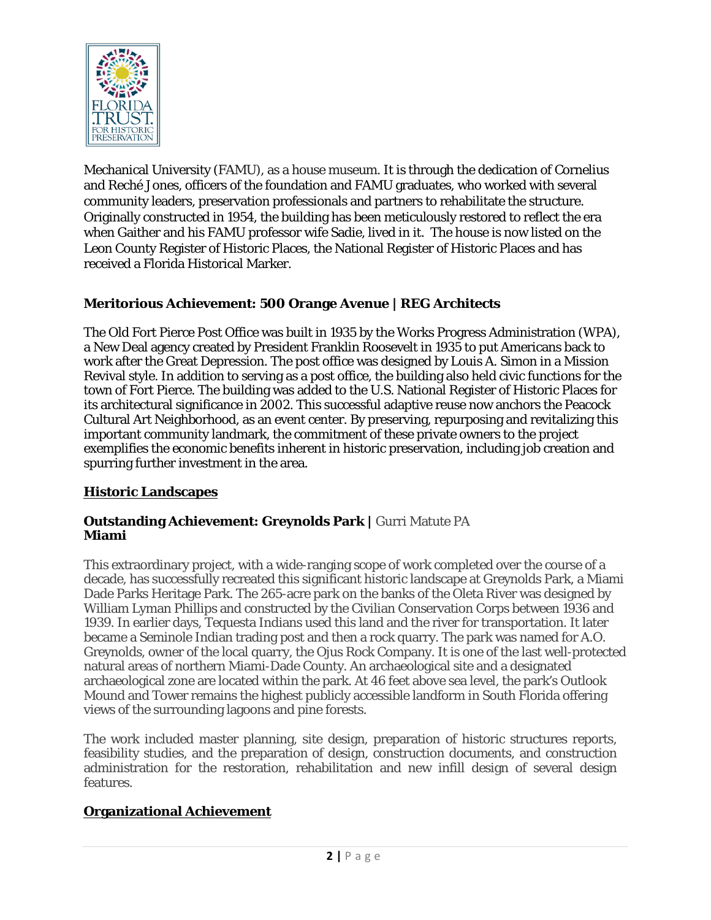

Mechanical University (FAMU), as a house museum. It is through the dedication of Cornelius and Reché Jones, officers of the foundation and FAMU graduates, who worked with several community leaders, preservation professionals and partners to rehabilitate the structure. Originally constructed in 1954, the building has been meticulously restored to reflect the era when Gaither and his FAMU professor wife Sadie, lived in it. The house is now listed on the Leon County Register of Historic Places, the National Register of Historic Places and has received a Florida Historical Marker.

# **Meritorious Achievement: 500 Orange Avenue | REG Architects**

The Old Fort Pierce Post Office was built in 1935 by the Works Progress Administration (WPA), a New Deal agency created by President Franklin Roosevelt in 1935 to put Americans back to work after the Great Depression. The post office was designed by Louis A. Simon in a Mission Revival style. In addition to serving as a post office, the building also held civic functions for the town of Fort Pierce. The building was added to the U.S. National Register of Historic Places for its architectural significance in 2002. This successful adaptive reuse now anchors the Peacock Cultural Art Neighborhood, as an event center. By preserving, repurposing and revitalizing this important community landmark, the commitment of these private owners to the project exemplifies the economic benefits inherent in historic preservation, including job creation and spurring further investment in the area.

# **Historic Landscapes**

#### **Outstanding Achievement: Greynolds Park |** Gurri Matute PA **Miami**

This extraordinary project, with a wide-ranging scope of work completed over the course of a decade, has successfully recreated this significant historic landscape at Greynolds Park, a Miami Dade Parks Heritage Park. The 265-acre park on the banks of the Oleta River was designed by William Lyman Phillips and constructed by the Civilian Conservation Corps between 1936 and 1939. In earlier days, Tequesta Indians used this land and the river for transportation. It later became a Seminole Indian trading post and then a rock quarry. The park was named for A.O. Greynolds, owner of the local quarry, the Ojus Rock Company. It is one of the last well-protected natural areas of northern Miami-Dade County. An archaeological site and a designated archaeological zone are located within the park. At 46 feet above sea level, the park's Outlook Mound and Tower remains the highest publicly accessible landform in South Florida offering views of the surrounding lagoons and pine forests.

The work included master planning, site design, preparation of historic structures reports, feasibility studies, and the preparation of design, construction documents, and construction administration for the restoration, rehabilitation and new infill design of several design features.

# **Organizational Achievement**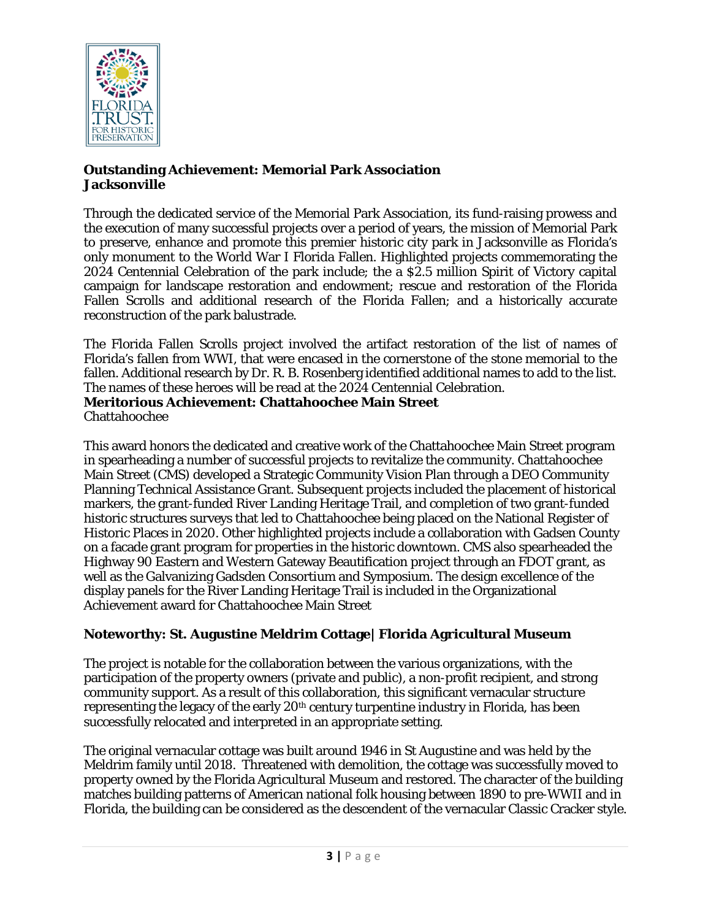

#### **Outstanding Achievement: Memorial Park Association Jacksonville**

Through the dedicated service of the Memorial Park Association, its fund-raising prowess and the execution of many successful projects over a period of years, the mission of Memorial Park to preserve, enhance and promote this premier historic city park in Jacksonville as Florida's only monument to the World War I Florida Fallen. Highlighted projects commemorating the 2024 Centennial Celebration of the park include; the a \$2.5 million Spirit of Victory capital campaign for landscape restoration and endowment; rescue and restoration of the Florida Fallen Scrolls and additional research of the Florida Fallen; and a historically accurate reconstruction of the park balustrade.

The Florida Fallen Scrolls project involved the artifact restoration of the list of names of Florida's fallen from WWI, that were encased in the cornerstone of the stone memorial to the fallen. Additional research by Dr. R. B. Rosenberg identified additional names to add to the list. The names of these heroes will be read at the 2024 Centennial Celebration. **Meritorious Achievement: Chattahoochee Main Street** Chattahoochee

This award honors the dedicated and creative work of the Chattahoochee Main Street program in spearheading a number of successful projects to revitalize the community. Chattahoochee Main Street (CMS) developed a Strategic Community Vision Plan through a DEO Community Planning Technical Assistance Grant. Subsequent projects included the placement of historical markers, the grant-funded River Landing Heritage Trail, and completion of two grant-funded historic structures surveys that led to Chattahoochee being placed on the National Register of Historic Places in 2020. Other highlighted projects include a collaboration with Gadsen County on a facade grant program for properties in the historic downtown. CMS also spearheaded the Highway 90 Eastern and Western Gateway Beautification project through an FDOT grant, as well as the Galvanizing Gadsden Consortium and Symposium. The design excellence of the display panels for the River Landing Heritage Trail is included in the Organizational Achievement award for Chattahoochee Main Street

# **Noteworthy: St. Augustine Meldrim Cottage| Florida Agricultural Museum**

The project is notable for the collaboration between the various organizations, with the participation of the property owners (private and public), a non-profit recipient, and strong community support. As a result of this collaboration, this significant vernacular structure representing the legacy of the early 20th century turpentine industry in Florida, has been successfully relocated and interpreted in an appropriate setting.

The original vernacular cottage was built around 1946 in St Augustine and was held by the Meldrim family until 2018. Threatened with demolition, the cottage was successfully moved to property owned by the Florida Agricultural Museum and restored. The character of the building matches building patterns of American national folk housing between 1890 to pre-WWII and in Florida, the building can be considered as the descendent of the vernacular Classic Cracker style.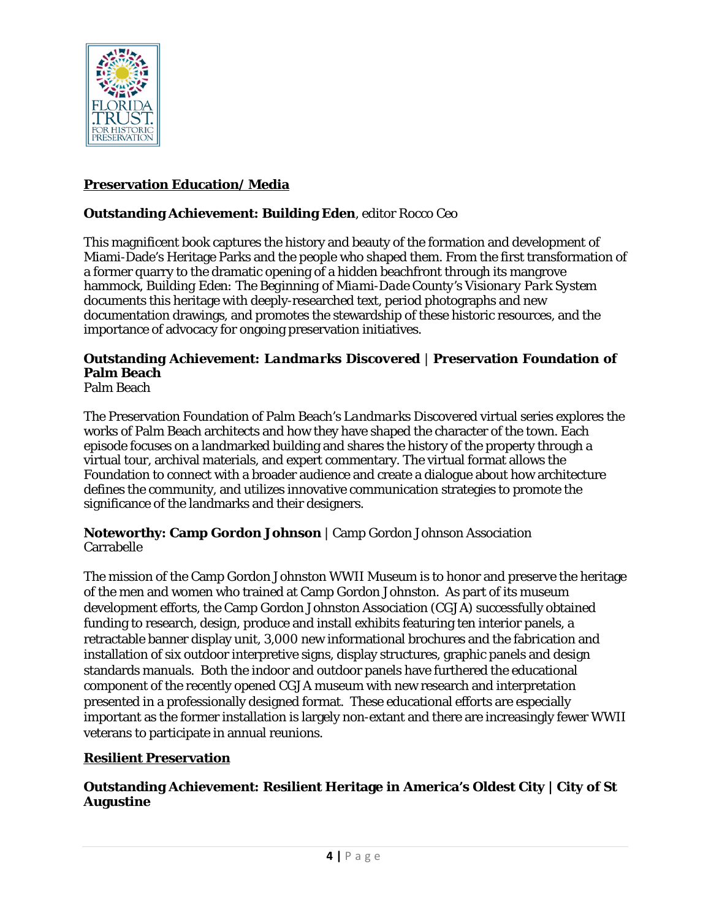

# **Preservation Education/ Media**

# **Outstanding Achievement: Building Eden**, editor Rocco Ceo

This magnificent book captures the history and beauty of the formation and development of Miami-Dade's Heritage Parks and the people who shaped them. From the first transformation of a former quarry to the dramatic opening of a hidden beachfront through its mangrove hammock, *Building Eden: The Beginning of Miami-Dade County's Visionary Park System*  documents this heritage with deeply-researched text, period photographs and new documentation drawings, and promotes the stewardship of these historic resources, and the importance of advocacy for ongoing preservation initiatives.

# **Outstanding Achievement:** *Landmarks Discovered* | **Preservation Foundation of Palm Beach**

Palm Beach

The Preservation Foundation of Palm Beach's *Landmarks Discovered* virtual series explores the works of Palm Beach architects and how they have shaped the character of the town. Each episode focuses on a landmarked building and shares the history of the property through a virtual tour, archival materials, and expert commentary. The virtual format allows the Foundation to connect with a broader audience and create a dialogue about how architecture defines the community, and utilizes innovative communication strategies to promote the significance of the landmarks and their designers.

#### **Noteworthy: Camp Gordon Johnson** | Camp Gordon Johnson Association Carrabelle

The mission of the Camp Gordon Johnston WWII Museum is to honor and preserve the heritage of the men and women who trained at Camp Gordon Johnston. As part of its museum development efforts, the Camp Gordon Johnston Association (CGJA) successfully obtained funding to research, design, produce and install exhibits featuring ten interior panels, a retractable banner display unit, 3,000 new informational brochures and the fabrication and installation of six outdoor interpretive signs, display structures, graphic panels and design standards manuals. Both the indoor and outdoor panels have furthered the educational component of the recently opened CGJA museum with new research and interpretation presented in a professionally designed format. These educational efforts are especially important as the former installation is largely non-extant and there are increasingly fewer WWII veterans to participate in annual reunions.

# **Resilient Preservation**

# **Outstanding Achievement: Resilient Heritage in America's Oldest City | City of St Augustine**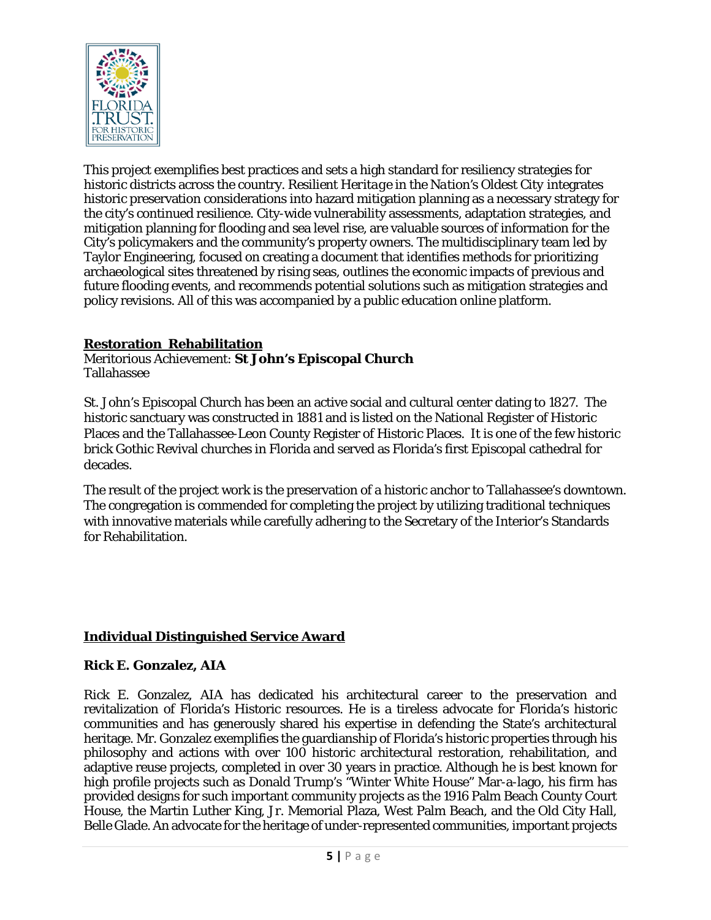

This project exemplifies best practices and sets a high standard for resiliency strategies for historic districts across the country. *Resilient Heritage in the Nation's Oldest City* integrates historic preservation considerations into hazard mitigation planning as a necessary strategy for the city's continued resilience. City-wide vulnerability assessments, adaptation strategies, and mitigation planning for flooding and sea level rise, are valuable sources of information for the City's policymakers and the community's property owners. The multidisciplinary team led by Taylor Engineering, focused on creating a document that identifies methods for prioritizing archaeological sites threatened by rising seas, outlines the economic impacts of previous and future flooding events, and recommends potential solutions such as mitigation strategies and policy revisions. All of this was accompanied by a public education online platform.

# **Restoration Rehabilitation**

#### Meritorious Achievement: **St John's Episcopal Church** Tallahassee

St. John's Episcopal Church has been an active social and cultural center dating to 1827. The historic sanctuary was constructed in 1881 and is listed on the National Register of Historic Places and the Tallahassee-Leon County Register of Historic Places. It is one of the few historic brick Gothic Revival churches in Florida and served as Florida's first Episcopal cathedral for decades.

The result of the project work is the preservation of a historic anchor to Tallahassee's downtown. The congregation is commended for completing the project by utilizing traditional techniques with innovative materials while carefully adhering to the Secretary of the Interior's Standards for Rehabilitation.

# **Individual Distinguished Service Award**

# **Rick E. Gonzalez, AIA**

Rick E. Gonzalez, AIA has dedicated his architectural career to the preservation and revitalization of Florida's Historic resources. He is a tireless advocate for Florida's historic communities and has generously shared his expertise in defending the State's architectural heritage. Mr. Gonzalez exemplifies the guardianship of Florida's historic properties through his philosophy and actions with over 100 historic architectural restoration, rehabilitation, and adaptive reuse projects, completed in over 30 years in practice. Although he is best known for high profile projects such as Donald Trump's "Winter White House" Mar-a-lago, his firm has provided designs for such important community projects as the 1916 Palm Beach County Court House, the Martin Luther King, Jr. Memorial Plaza, West Palm Beach, and the Old City Hall, Belle Glade. An advocate for the heritage of under-represented communities, important projects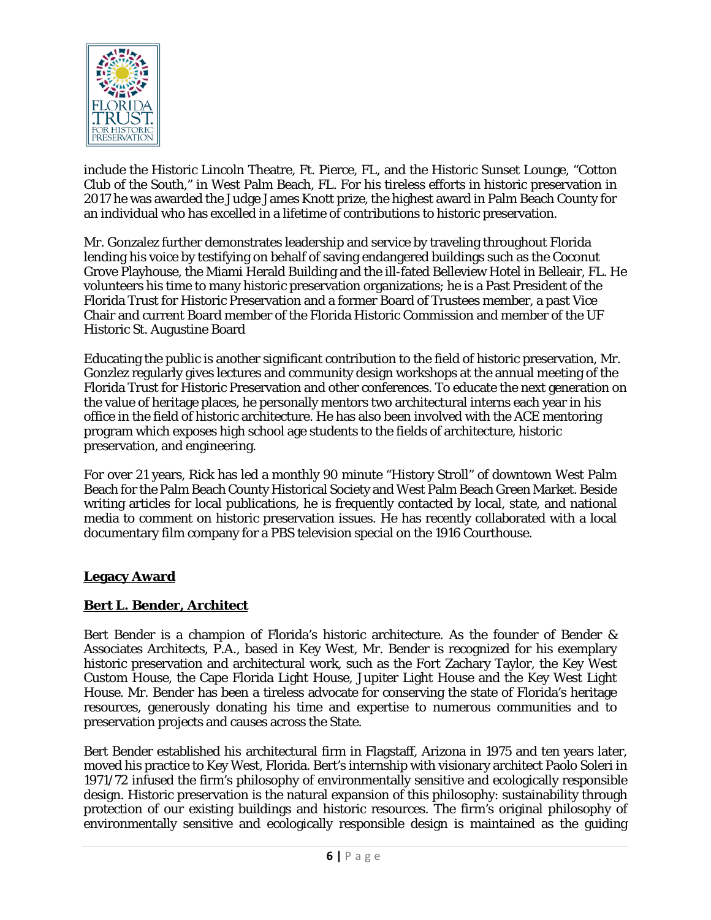

include the Historic Lincoln Theatre, Ft. Pierce, FL, and the Historic Sunset Lounge, "Cotton Club of the South," in West Palm Beach, FL. For his tireless efforts in historic preservation in 2017 he was awarded the Judge James Knott prize, the highest award in Palm Beach County for an individual who has excelled in a lifetime of contributions to historic preservation.

Mr. Gonzalez further demonstrates leadership and service by traveling throughout Florida lending his voice by testifying on behalf of saving endangered buildings such as the Coconut Grove Playhouse, the Miami Herald Building and the ill-fated Belleview Hotel in Belleair, FL. He volunteers his time to many historic preservation organizations; he is a Past President of the Florida Trust for Historic Preservation and a former Board of Trustees member, a past Vice Chair and current Board member of the Florida Historic Commission and member of the UF Historic St. Augustine Board

Educating the public is another significant contribution to the field of historic preservation, Mr. Gonzlez regularly gives lectures and community design workshops at the annual meeting of the Florida Trust for Historic Preservation and other conferences. To educate the next generation on the value of heritage places, he personally mentors two architectural interns each year in his office in the field of historic architecture. He has also been involved with the ACE mentoring program which exposes high school age students to the fields of architecture, historic preservation, and engineering.

For over 21 years, Rick has led a monthly 90 minute "History Stroll" of downtown West Palm Beach for the Palm Beach County Historical Society and West Palm Beach Green Market. Beside writing articles for local publications, he is frequently contacted by local, state, and national media to comment on historic preservation issues. He has recently collaborated with a local documentary film company for a PBS television special on the 1916 Courthouse.

# **Legacy Award**

# **Bert L. Bender, Architect**

Bert Bender is a champion of Florida's historic architecture. As the founder of Bender & Associates Architects, P.A., based in Key West, Mr. Bender is recognized for his exemplary historic preservation and architectural work, such as the Fort Zachary Taylor, the Key West Custom House, the Cape Florida Light House, Jupiter Light House and the Key West Light House. Mr. Bender has been a tireless advocate for conserving the state of Florida's heritage resources, generously donating his time and expertise to numerous communities and to preservation projects and causes across the State.

Bert Bender established his architectural firm in Flagstaff, Arizona in 1975 and ten years later, moved his practice to Key West, Florida. Bert's internship with visionary architect Paolo Soleri in 1971/72 infused the firm's philosophy of environmentally sensitive and ecologically responsible design. Historic preservation is the natural expansion of this philosophy: sustainability through protection of our existing buildings and historic resources. The firm's original philosophy of environmentally sensitive and ecologically responsible design is maintained as the guiding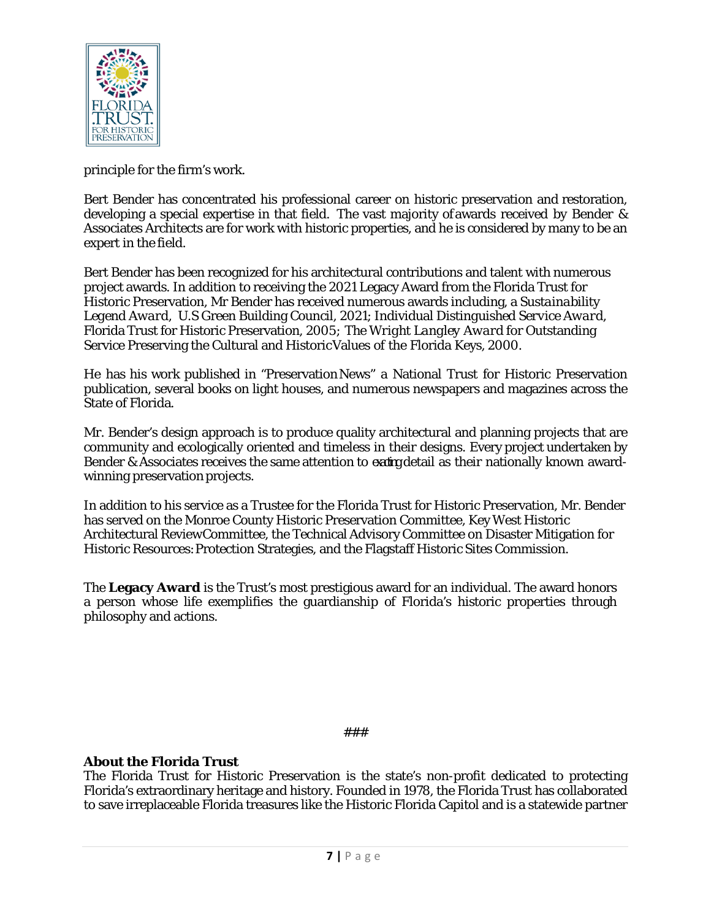

principle for the firm's work.

Bert Bender has concentrated his professional career on historic preservation and restoration, developing a special expertise in that field. The vast majority ofawards received by Bender & Associates Architects are for work with historic properties, and he is considered by many to be an expert in the field.

Bert Bender has been recognized for his architectural contributions and talent with numerous project awards. In addition to receiving the 2021 Legacy Award from the Florida Trust for Historic Preservation, Mr Bender has received numerous awards including, a *Sustainability Legend Award,* U.S Green Building Council, 2021; Individual *Distinguished Service Award*, Florida Trust for Historic Preservation, 2005; *The Wright Langley Award* for Outstanding Service Preserving the Cultural and HistoricValues of the Florida Keys, 2000.

He has his work published in "PreservationNews" a National Trust for Historic Preservation publication, several books on light houses, and numerous newspapers and magazines across the State of Florida.

Mr. Bender's design approach is to produce quality architectural and planning projects that are community and ecologically oriented and timeless in their designs. Every project undertaken by Bender & Associates receives the same attention to exating detail as their nationally known awardwinning preservation projects.

In addition to his service as a Trustee for the Florida Trust for Historic Preservation, Mr. Bender has served on the Monroe County Historic Preservation Committee, Key West Historic Architectural ReviewCommittee, the Technical Advisory Committee on Disaster Mitigation for Historic Resources:Protection Strategies, and the Flagstaff Historic Sites Commission.

The **Legacy Award** is the Trust's most prestigious award for an individual. The award honors a person whose life exemplifies the guardianship of Florida's historic properties through philosophy and actions.

###

# **About the Florida Trust**

The Florida Trust for Historic Preservation is the state's non-profit dedicated to protecting Florida's extraordinary heritage and history. Founded in 1978, the Florida Trust has collaborated to save irreplaceable Florida treasures like the Historic Florida Capitol and is a statewide partner